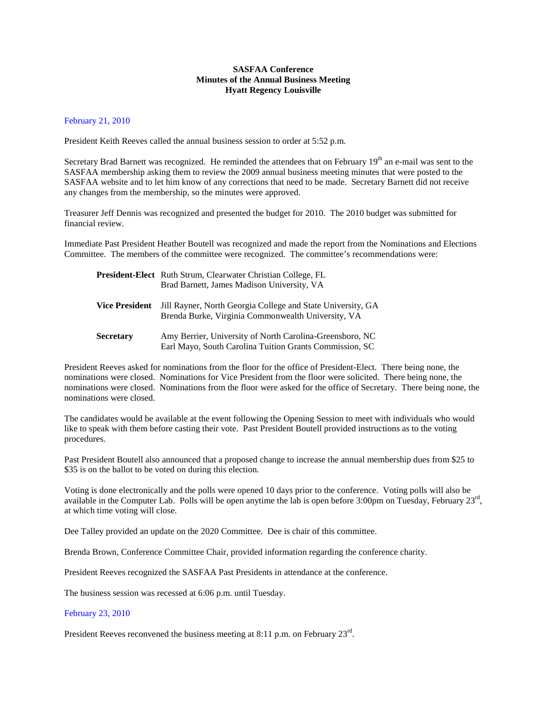## **SASFAA Conference Minutes of the Annual Business Meeting Hyatt Regency Louisville**

## February 21, 2010

President Keith Reeves called the annual business session to order at 5:52 p.m.

Secretary Brad Barnett was recognized. He reminded the attendees that on February 19<sup>th</sup> an e-mail was sent to the SASFAA membership asking them to review the 2009 annual business meeting minutes that were posted to the SASFAA website and to let him know of any corrections that need to be made. Secretary Barnett did not receive any changes from the membership, so the minutes were approved.

Treasurer Jeff Dennis was recognized and presented the budget for 2010. The 2010 budget was submitted for financial review.

Immediate Past President Heather Boutell was recognized and made the report from the Nominations and Elections Committee. The members of the committee were recognized. The committee's recommendations were:

|                       | <b>President-Elect</b> Ruth Strum, Clearwater Christian College, FL<br>Brad Barnett, James Madison University, VA   |
|-----------------------|---------------------------------------------------------------------------------------------------------------------|
| <b>Vice President</b> | Jill Rayner, North Georgia College and State University, GA<br>Brenda Burke, Virginia Commonwealth University, VA   |
| <b>Secretary</b>      | Amy Berrier, University of North Carolina-Greensboro, NC<br>Earl Mayo, South Carolina Tuition Grants Commission, SC |

President Reeves asked for nominations from the floor for the office of President-Elect. There being none, the nominations were closed. Nominations for Vice President from the floor were solicited. There being none, the nominations were closed. Nominations from the floor were asked for the office of Secretary. There being none, the nominations were closed.

The candidates would be available at the event following the Opening Session to meet with individuals who would like to speak with them before casting their vote. Past President Boutell provided instructions as to the voting procedures.

Past President Boutell also announced that a proposed change to increase the annual membership dues from \$25 to \$35 is on the ballot to be voted on during this election.

Voting is done electronically and the polls were opened 10 days prior to the conference. Voting polls will also be available in the Computer Lab. Polls will be open anytime the lab is open before 3:00pm on Tuesday, February 23<sup>rd</sup>, at which time voting will close.

Dee Talley provided an update on the 2020 Committee. Dee is chair of this committee.

Brenda Brown, Conference Committee Chair, provided information regarding the conference charity.

President Reeves recognized the SASFAA Past Presidents in attendance at the conference.

The business session was recessed at 6:06 p.m. until Tuesday.

## February 23, 2010

President Reeves reconvened the business meeting at 8:11 p.m. on February  $23^{\text{rd}}$ .